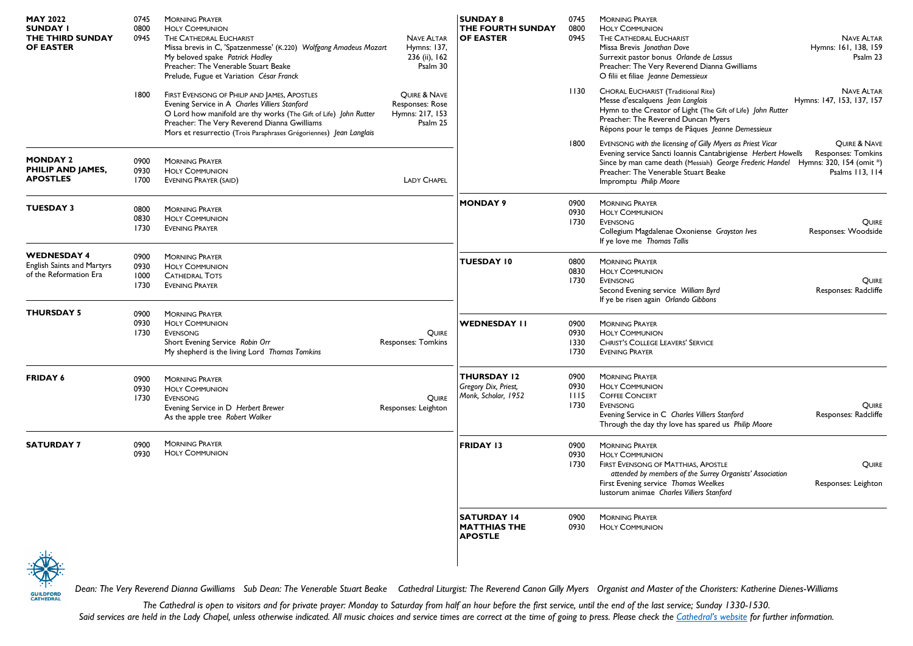| <b>MAY 2022</b><br><b>SUNDAY I</b><br>THE THIRD SUNDAY<br><b>OF EASTER</b>        | 0745<br>0800<br>0945         | <b>MORNING PRAYER</b><br><b>HOLY COMMUNION</b><br>THE CATHEDRAL EUCHARIST<br>Missa brevis in C, 'Spatzenmesse' (K.220) Wolfgang Amadeus Mozart<br>My beloved spake Patrick Hadley<br>Preacher: The Venerable Stuart Beake<br>Prelude, Fugue et Variation César Franck                    | <b>NAVE ALTAR</b><br>Hymns: 137,<br>236 (ii), 162<br>Psalm 30  | <b>SUNDAY 8</b><br>THE FOURTH SUNDAY<br><b>OF EASTER</b>          | 0745<br>0800<br>0945         | <b>MORNING PRAYER</b><br><b>HOLY COMMUNION</b><br>THE CATHEDRAL EUCHARIST<br>Missa Brevis Jonathan Dove<br>Surrexit pastor bonus Orlande de Lassus<br>Preacher: The Very Reverend Dianna Gwilliams<br>O filii et filiae Jeanne Demessieux                                          | <b>NAVE ALTAR</b><br>Hymns: 161, 138, 159<br>Psalm 23 |
|-----------------------------------------------------------------------------------|------------------------------|------------------------------------------------------------------------------------------------------------------------------------------------------------------------------------------------------------------------------------------------------------------------------------------|----------------------------------------------------------------|-------------------------------------------------------------------|------------------------------|------------------------------------------------------------------------------------------------------------------------------------------------------------------------------------------------------------------------------------------------------------------------------------|-------------------------------------------------------|
|                                                                                   | 1800                         | FIRST EVENSONG OF PHILIP AND JAMES, APOSTLES<br>Evening Service in A Charles Villiers Stanford<br>O Lord how manifold are thy works (The Gift of Life) John Rutter<br>Preacher: The Very Reverend Dianna Gwilliams<br>Mors et resurrectio (Trois Paraphrases Grégoriennes) Jean Langlais | QUIRE & NAVE<br>Responses: Rose<br>Hymns: 217, 153<br>Psalm 25 |                                                                   | 1130                         | <b>CHORAL EUCHARIST (Traditional Rite)</b><br>Messe d'escalquens Jean Langlais<br>Hymn to the Creator of Light (The Gift of Life) John Rutter<br>Preacher: The Reverend Duncan Myers<br>Répons pour le temps de Pâques Jeanne Demessieux                                           | <b>NAVE ALTAR</b><br>Hymns: 147, 153, 137, 157        |
| <b>MONDAY 2</b><br>PHILIP AND JAMES,<br><b>APOSTLES</b>                           | 0900<br>0930<br>1700         | <b>MORNING PRAYER</b><br><b>HOLY COMMUNION</b><br><b>EVENING PRAYER (SAID)</b>                                                                                                                                                                                                           | <b>LADY CHAPEL</b>                                             |                                                                   | 1800                         | EVENSONG with the licensing of Gilly Myers as Priest Vicar<br>Evening service Sancti Ioannis Cantabrigiense Herbert Howells<br>Since by man came death (Messiah) George Frederic Handel Hymns: 320, 154 (omit *)<br>Preacher: The Venerable Stuart Beake<br>Impromptu Philip Moore | OUIRE & NAVE<br>Responses: Tomkins<br>Psalms 113, 114 |
| <b>TUESDAY 3</b>                                                                  | 0800<br>0830<br>1730         | <b>MORNING PRAYER</b><br><b>HOLY COMMUNION</b><br><b>EVENING PRAYER</b>                                                                                                                                                                                                                  |                                                                | <b>MONDAY 9</b>                                                   | 0900<br>0930<br>1730         | <b>MORNING PRAYER</b><br><b>HOLY COMMUNION</b><br><b>EVENSONG</b><br>Collegium Magdalenae Oxoniense Grayston Ives<br>If ye love me Thomas Tallis                                                                                                                                   | QUIRE<br>Responses: Woodside                          |
| <b>WEDNESDAY 4</b><br><b>English Saints and Martyrs</b><br>of the Reformation Era | 0900<br>0930<br>1000<br>1730 | <b>MORNING PRAYER</b><br><b>HOLY COMMUNION</b><br><b>CATHEDRAL TOTS</b><br><b>EVENING PRAYER</b>                                                                                                                                                                                         |                                                                | <b>TUESDAY 10</b>                                                 | 0800<br>0830<br>1730         | <b>MORNING PRAYER</b><br><b>HOLY COMMUNION</b><br>EVENSONG<br>Second Evening service William Byrd<br>If ye be risen again Orlando Gibbons                                                                                                                                          | QUIRE<br>Responses: Radcliffe                         |
| <b>THURSDAY 5</b>                                                                 | 0900<br>0930<br>1730         | <b>MORNING PRAYER</b><br><b>HOLY COMMUNION</b><br><b>EVENSONG</b><br>Short Evening Service Robin Orr<br>My shepherd is the living Lord Thomas Tomkins                                                                                                                                    | QUIRE<br><b>Responses: Tomkins</b>                             | WEDNESDAY II                                                      | 0900<br>0930<br>1330<br>1730 | <b>MORNING PRAYER</b><br><b>HOLY COMMUNION</b><br><b>CHRIST'S COLLEGE LEAVERS' SERVICE</b><br><b>EVENING PRAYER</b>                                                                                                                                                                |                                                       |
| <b>FRIDAY 6</b>                                                                   | 0900<br>0930<br>1730         | <b>MORNING PRAYER</b><br><b>HOLY COMMUNION</b><br><b>EVENSONG</b><br>Evening Service in D Herbert Brewer<br>As the apple tree Robert Walker                                                                                                                                              | <b>OUIRE</b><br>Responses: Leighton                            | <b>THURSDAY 12</b><br>Gregory Dix, Priest,<br>Monk, Scholar, 1952 | 0900<br>0930<br>1115<br>1730 | <b>MORNING PRAYER</b><br><b>HOLY COMMUNION</b><br><b>COFFEE CONCERT</b><br><b>EVENSONG</b><br>Evening Service in C Charles Villiers Stanford<br>Through the day thy love has spared us Philip Moore                                                                                | QUIRE<br>Responses: Radcliffe                         |
| <b>SATURDAY 7</b>                                                                 | 0900<br>0930                 | <b>MORNING PRAYER</b><br><b>HOLY COMMUNION</b>                                                                                                                                                                                                                                           |                                                                | <b>FRIDAY 13</b>                                                  | 0900<br>0930<br>1730         | <b>MORNING PRAYER</b><br><b>HOLY COMMUNION</b><br><b>FIRST EVENSONG OF MATTHIAS, APOSTLE</b><br>attended by members of the Surrey Organists' Association<br>First Evening service Thomas Weelkes<br>lustorum animae Charles Villiers Stanford                                      | QUIRE<br>Responses: Leighton                          |
|                                                                                   |                              |                                                                                                                                                                                                                                                                                          |                                                                | <b>SATURDAY 14</b><br><b>MATTHIAS THE</b><br><b>APOSTLE</b>       | 0900<br>0930                 | <b>MORNING PRAYER</b><br><b>HOLY COMMUNION</b>                                                                                                                                                                                                                                     |                                                       |
|                                                                                   |                              |                                                                                                                                                                                                                                                                                          |                                                                |                                                                   |                              |                                                                                                                                                                                                                                                                                    |                                                       |



*Dean: The Very Reverend Dianna Gwilliams Sub Dean: The Venerable Stuart Beake Cathedral Liturgist: The Reverend Canon Gilly Myers Organist and Master of the Choristers: Katherine Dienes-Williams*

*The Cathedral is open to visitors and for private prayer: Monday to Saturday from half an hour before the first service, until the end of the last service; Sunday 1330-1530.* Said services are held in the Lady Chapel, unless otherwise indicated. All music choices and service times are correct at the time of going to press. Please check the [Cathedral's website](https://www.guildford-cathedral.org/) for further information.